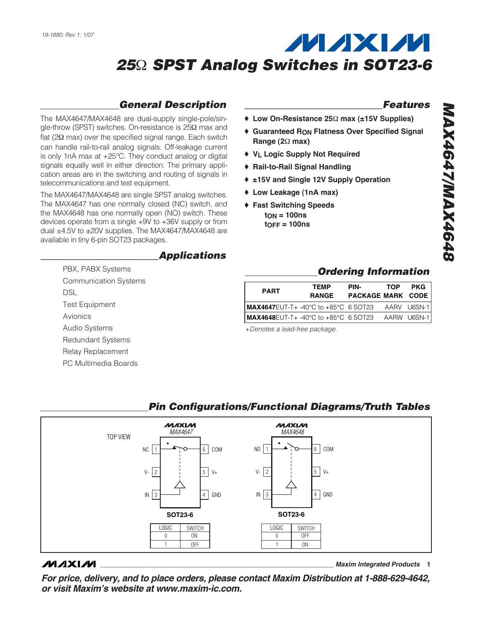## *General Description*

The MAX4647/MAX4648 are dual-supply single-pole/single-throw (SPST) switches. On-resistance is 25Ω max and flat ( $2Ω$  max) over the specified signal range. Each switch can handle rail-to-rail analog signals. Off-leakage current is only 1nA max at +25°C. They conduct analog or digital signals equally well in either direction. The primary application areas are in the switching and routing of signals in telecommunications and test equipment.

The MAX4647/MAX4648 are single SPST analog switches. The MAX4647 has one normally closed (NC) switch, and the MAX4648 has one normally open (NO) switch. These devices operate from a single +9V to +36V supply or from dual ±4.5V to ±20V supplies. The MAX4647/MAX4648 are available in tiny 6-pin SOT23 packages.

> PBX, PABX Systems Communication Systems

Test Equipment

Audio Systems Redundant Systems Relay Replacement PC Multimedia Boards

DSL

Avionics

### *\_\_\_\_\_\_\_\_\_\_\_\_\_\_\_\_\_\_\_\_\_\_\_\_Applications*

### *\_\_\_\_\_\_\_\_\_\_\_\_\_\_\_\_\_\_\_\_\_\_\_\_\_\_\_\_Features*

- ♦ **Low On-Resistance 25**Ω **max (±15V Supplies)**
- ♦ **Guaranteed RON Flatness Over Specified Signal Range (2**Ω **max)**
- ♦ **VL Logic Supply Not Required**
- ♦ **Rail-to-Rail Signal Handling**
- ♦ **±15V and Single 12V Supply Operation**
- ♦ **Low Leakage (1nA max)**
- ♦ **Fast Switching Speeds tON = 100ns tOFF = 100ns**

### *Ordering Information*

| <b>PART</b>                                             | TEMP<br><b>RANGE</b> | PIN-<br><b>PACKAGE MARK CODE</b> | TOP | <b>PKG</b> |
|---------------------------------------------------------|----------------------|----------------------------------|-----|------------|
| <b>MAX4647</b> EUT-T+-40°C to +85°C 6 SOT23 AARV U6SN-1 |                      |                                  |     |            |
| MAX4648EUT-T+ -40°C to +85°C 6 SOT23 AARW U6SN-1        |                      |                                  |     |            |

+*Denotes a lead-free package.*



### **MAXM**

**\_\_\_\_\_\_\_\_\_\_\_\_\_\_\_\_\_\_\_\_\_\_\_\_\_\_\_\_\_\_\_\_\_\_\_\_\_\_\_\_\_\_\_\_\_\_\_\_\_\_\_\_\_\_\_\_\_\_\_\_\_\_\_\_** *Maxim Integrated Products* **1**

*For price, delivery, and to place orders, please contact Maxim Distribution at 1-888-629-4642, or visit Maxim's website at www.maxim-ic.com.*

### *Pin Configurations/Functional Diagrams/Truth Tables*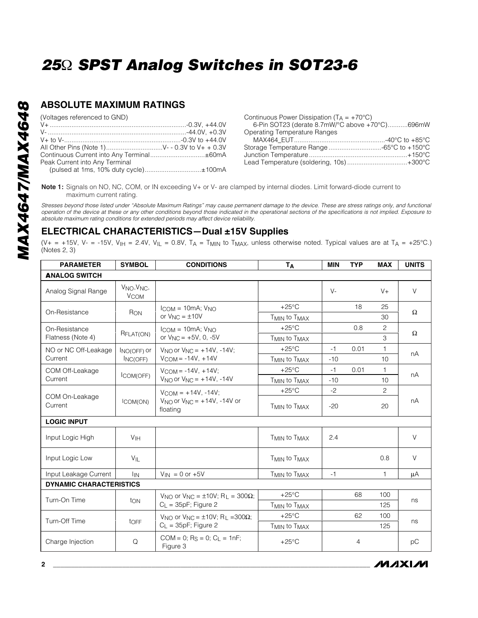## **ABSOLUTE MAXIMUM RATINGS**

(Voltages referenced to GND)

| Peak Current into Any Terminal        |  |
|---------------------------------------|--|
| (pulsed at 1ms, 10% duty cycle)±100mA |  |
|                                       |  |

| Continuous Power Dissipation ( $T_A = +70^{\circ}C$ ) |  |
|-------------------------------------------------------|--|
| 6-Pin SOT23 (derate 8.7mW/°C above +70°C)696mW        |  |
| <b>Operating Temperature Ranges</b>                   |  |
|                                                       |  |
| Storage Temperature Range -65°C to +150°C             |  |
|                                                       |  |
| Lead Temperature (soldering, 10s)+300°C               |  |
|                                                       |  |

**Note 1:** Signals on NO, NC, COM, or IN exceeding V+ or V- are clamped by internal diodes. Limit forward-diode current to maximum current rating.

*Stresses beyond those listed under "Absolute Maximum Ratings" may cause permanent damage to the device. These are stress ratings only, and functional operation of the device at these or any other conditions beyond those indicated in the operational sections of the specifications is not implied. Exposure to absolute maximum rating conditions for extended periods may affect device reliability.*

### **ELECTRICAL CHARACTERISTICS—Dual ±15V Supplies**

(V+ = +15V, V- = -15V, V<sub>IH</sub> = 2.4V, V<sub>IL</sub> = 0.8V, T<sub>A</sub> = T<sub>MIN</sub> to T<sub>MAX</sub>, unless otherwise noted. Typical values are at T<sub>A</sub> = +25°C.) (Notes 2, 3)

| <b>PARAMETER</b>               | <b>SYMBOL</b>                                               | <b>CONDITIONS</b>                                                                           | <b>TA</b>                            | <b>MIN</b> | <b>TYP</b>     | <b>MAX</b>   | <b>UNITS</b> |
|--------------------------------|-------------------------------------------------------------|---------------------------------------------------------------------------------------------|--------------------------------------|------------|----------------|--------------|--------------|
| <b>ANALOG SWITCH</b>           |                                                             |                                                                                             |                                      |            |                |              |              |
| Analog Signal Range            | V <sub>NO</sub> , V <sub>NC</sub><br><b>V<sub>COM</sub></b> |                                                                                             |                                      | $V -$      |                | $V +$        | $\vee$       |
| On-Resistance                  | RON                                                         | $l_{COM} = 10mA; V_{NO}$                                                                    | $+25^{\circ}$ C                      |            | 18             | 25           | Ω            |
|                                |                                                             | or $V_{NC} = \pm 10V$                                                                       | T <sub>MIN</sub> to T <sub>MAX</sub> |            |                | 30           |              |
| On-Resistance                  | RFLAT(ON)                                                   | $l_{COM} = 10mA; V_{NO}$                                                                    | $+25^{\circ}$ C                      |            | 0.8            | 2            | Ω            |
| Flatness (Note 4)              |                                                             | or $V_{\text{NC}} = +5V$ , 0, -5V                                                           | T <sub>MIN</sub> to T <sub>MAX</sub> |            |                | 3            |              |
| NO or NC Off-Leakage           | INO(OFF) Or                                                 | $V_{NQ}$ or $V_{NC} = +14V, -14V$ ;                                                         | $+25^{\circ}$ C                      | $-1$       | 0.01           | 1            | nA           |
| Current                        | INC(OFF)                                                    | $V_{COM} = -14V, +14V$                                                                      | T <sub>MIN</sub> to T <sub>MAX</sub> | $-10$      |                | 10           |              |
| COM Off-Leakage                |                                                             | $V_{COM} = -14V, +14V$ ;                                                                    | $+25^{\circ}$ C                      | $-1$       | 0.01           | $\mathbf{1}$ | nA           |
| Current                        | ICOM(OFF)                                                   | $V_{NO}$ or $V_{NC} = +14V, -14V$                                                           | T <sub>MIN</sub> to T <sub>MAX</sub> | $-10$      |                | 10           |              |
|                                |                                                             | $V_{COM} = +14V, -14V$ ;<br>$V_{\text{NO}}$ or $V_{\text{NC}} = +14V$ , -14V or<br>floating | $+25^{\circ}$ C                      | $-2$       |                | 2            |              |
| COM On-Leakage<br>Current      | ICOM(ON)                                                    |                                                                                             | <b>TMIN to TMAX</b>                  | $-20$      |                | 20           | nA           |
| <b>LOGIC INPUT</b>             |                                                             |                                                                                             |                                      |            |                |              |              |
| Input Logic High               | V <sub>IH</sub>                                             |                                                                                             | T <sub>MIN</sub> to T <sub>MAX</sub> | 2.4        |                |              | V            |
| Input Logic Low                | VIL                                                         |                                                                                             | T <sub>MIN</sub> to T <sub>MAX</sub> |            |                | 0.8          | $\vee$       |
| Input Leakage Current          | <b>I</b> IN                                                 | $V_{IN} = 0$ or $+5V$                                                                       | T <sub>MIN</sub> to T <sub>MAX</sub> | $-1$       |                | $\mathbf{1}$ | μA           |
| <b>DYNAMIC CHARACTERISTICS</b> |                                                             |                                                                                             |                                      |            |                |              |              |
| Turn-On Time                   |                                                             | $V_{NO}$ or $V_{NC} = \pm 10V$ ; R <sub>L</sub> = 300 $\Omega$ ;<br>$C_L$ = 35pF; Figure 2  | $+25^{\circ}$ C                      |            | 68             | 100          |              |
|                                | ton                                                         |                                                                                             | T <sub>MIN</sub> to T <sub>MAX</sub> |            |                | 125          | ns           |
| Turn-Off Time                  | toFF                                                        | $V_{NO}$ or $V_{NC} = \pm 10V$ ; R <sub>1</sub> = 300Ω;                                     | $+25^{\circ}$ C                      |            | 62             | 100          | ns           |
|                                |                                                             | $C_{1}$ = 35pF; Figure 2                                                                    | T <sub>MIN</sub> to T <sub>MAX</sub> |            |                | 125          |              |
| Charge Injection               | Q                                                           | $COM = 0$ ; Rs = 0; C <sub>l</sub> = 1nF;<br>Figure 3                                       | $+25^{\circ}$ C                      |            | $\overline{4}$ |              | рC           |

**MAXIM**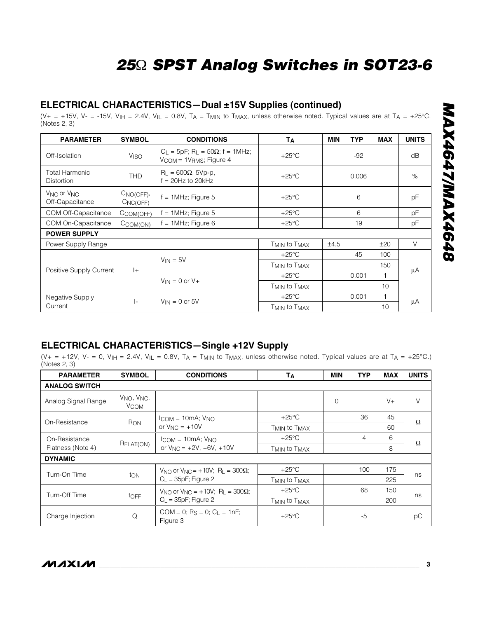### **ELECTRICAL CHARACTERISTICS—Dual ±15V Supplies (continued)**

(V+ = +15V, V- = -15V, V<sub>IH</sub> = 2.4V, V<sub>IL</sub> = 0.8V, T<sub>A</sub> = T<sub>MIN</sub> to T<sub>MAX</sub>, unless otherwise noted. Typical values are at T<sub>A</sub> = +25°C. (Notes 2, 3)

| <b>PARAMETER</b>                                      | <b>SYMBOL</b>            | <b>CONDITIONS</b>                                                                                           | Tд                                   | <b>TYP</b><br><b>MIN</b> | <b>MAX</b>   | <b>UNITS</b> |  |
|-------------------------------------------------------|--------------------------|-------------------------------------------------------------------------------------------------------------|--------------------------------------|--------------------------|--------------|--------------|--|
| Off-Isolation                                         | <b>V<sub>ISO</sub></b>   | $C_{L} = 5pF$ ; R <sub>L</sub> = 50 $\Omega$ ; f = 1MHz;<br>V <sub>COM</sub> = 1V <sub>RMS</sub> ; Figure 4 | $+25^{\circ}$ C                      | $-92$                    |              | dB           |  |
| <b>Total Harmonic</b><br><b>Distortion</b>            | <b>THD</b>               | $R_{L} = 600\Omega$ , 5Vp-p,<br>$f = 20$ Hz to 20kHz                                                        | $+25^{\circ}$ C                      | 0.006                    |              | $\%$         |  |
| V <sub>NO</sub> or V <sub>NC</sub><br>Off-Capacitance | $CNO(OFF)$ ,<br>CNC(OFF) | $f = 1$ MHz; Figure 5                                                                                       | $+25^{\circ}$ C                      | 6                        |              | pF           |  |
| COM Off-Capacitance                                   | CCOM(OFF)                | $f = 1$ MHz; Figure 5                                                                                       | $+25^{\circ}$ C                      | 6                        |              | pF           |  |
| COM On-Capacitance                                    | $C_{COM(ON)}$            | $= 1$ MHz; Figure 6                                                                                         | $+25^{\circ}$ C                      | 19                       |              | pF           |  |
| <b>POWER SUPPLY</b>                                   |                          |                                                                                                             |                                      |                          |              |              |  |
| Power Supply Range                                    |                          |                                                                                                             | T <sub>MIN</sub> to T <sub>MAX</sub> | ±4.5                     | ±20          | $\vee$       |  |
|                                                       |                          |                                                                                                             | $+25^{\circ}$ C                      | 45                       | 100          |              |  |
| Positive Supply Current                               | $ +$                     | $V_{IN} = 5V$<br>$V_{IN} = 0$ or $V +$                                                                      | T <sub>MIN</sub> to T <sub>MAX</sub> |                          | 150          |              |  |
|                                                       |                          |                                                                                                             | $+25^{\circ}$ C                      | 0.001                    |              | μA           |  |
|                                                       |                          |                                                                                                             | T <sub>MIN</sub> to T <sub>MAX</sub> |                          | 10           |              |  |
| Negative Supply                                       |                          |                                                                                                             | $+25^{\circ}$ C                      | 0.001                    | $\mathbf{1}$ |              |  |
| Current                                               | $\vert$ -                | $V_{IN} = 0$ or 5V                                                                                          | T <sub>MIN</sub> to T <sub>MAX</sub> |                          | 10           | μA           |  |

## **ELECTRICAL CHARACTERISTICS—Single +12V Supply**

(V+ = +12V, V- = 0, V<sub>IH</sub> = 2.4V, V<sub>IL</sub> = 0.8V, T<sub>A</sub> = T<sub>MIN</sub> to T<sub>MAX</sub>, unless otherwise noted. Typical values are at T<sub>A</sub> = +25°C.) (Notes 2, 3)

| <b>PARAMETER</b>     | <b>SYMBOL</b>                                      | <b>CONDITIONS</b>                                                           | Тд                                   | MIN             | <b>TYP</b> | <b>MAX</b> | <b>UNITS</b> |   |
|----------------------|----------------------------------------------------|-----------------------------------------------------------------------------|--------------------------------------|-----------------|------------|------------|--------------|---|
| <b>ANALOG SWITCH</b> |                                                    |                                                                             |                                      |                 |            |            |              |   |
| Analog Signal Range  | V <sub>NO</sub> , V <sub>NC</sub> ,<br><b>VCOM</b> |                                                                             |                                      | $\Omega$        |            | $V +$      | V            |   |
| On-Resistance        |                                                    | $l_{COM} = 10mA$ ; $V_{NO}$                                                 | $+25^{\circ}$ C                      |                 | 36         | 45         | Ω            |   |
|                      | RON                                                | or $V_{NC} = +10V$                                                          | T <sub>MIN</sub> to T <sub>MAX</sub> |                 |            | 60         |              |   |
| On-Resistance        |                                                    | $l_{COM} = 10mA$ ; $V_{NO}$                                                 |                                      | $+25^{\circ}$ C |            | 4          | 6            | Ω |
| Flatness (Note 4)    | R <sub>FLAT</sub> (ON)                             | or $V_{\text{NC}} = +2V, +6V, +10V$                                         | T <sub>MIN</sub> to T <sub>MAX</sub> |                 |            | 8          |              |   |
| <b>DYNAMIC</b>       |                                                    |                                                                             |                                      |                 |            |            |              |   |
|                      |                                                    | $V_{\text{NO}}$ or $V_{\text{NC}} = +10V$ ; R <sub>1</sub> = 300 $\Omega$ ; | $+25^{\circ}$ C                      |                 | 100        | 175        |              |   |
| Turn-On Time         | ton                                                | $C_{L}$ = 35pF; Figure 2                                                    | T <sub>MIN</sub> to T <sub>MAX</sub> |                 |            | 225        | ns           |   |
| Turn-Off Time        |                                                    | $V_{NO}$ or $V_{NC} = +10V$ ; R <sub>L</sub> = 300 $\Omega$ ;               | $+25^{\circ}$ C                      |                 | 68         | 150        |              |   |
|                      | toFF                                               | $C_{L}$ = 35pF; Figure 2                                                    | T <sub>MIN</sub> to T <sub>MAX</sub> |                 |            | 200        | ns           |   |
| Charge Injection     | Q                                                  | $COM = 0$ : Rs = 0: C <sub>i</sub> = 1nF:<br>Figure 3                       | $+25^{\circ}$ C                      |                 | -5         |            | рC           |   |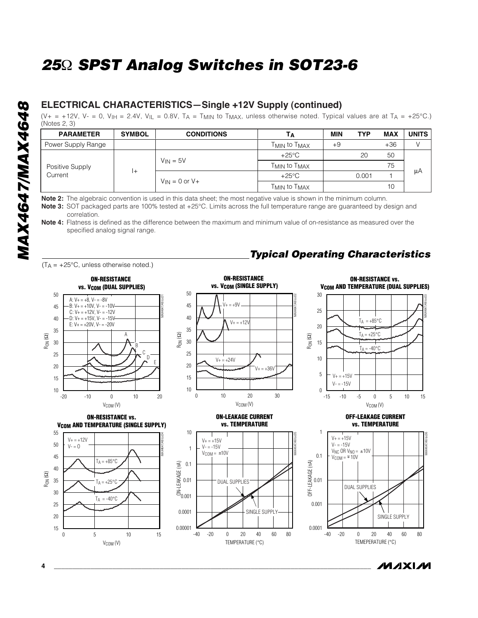## **ELECTRICAL CHARACTERISTICS—Single +12V Supply (continued)**

(V+ = +12V, V- = 0, V<sub>IH</sub> = 2.4V, V<sub>IL</sub> = 0.8V, T<sub>A</sub> = T<sub>MIN</sub> to T<sub>MAX</sub>, unless otherwise noted. Typical values are at T<sub>A</sub> = +25°C.) (Notes 2, 3)

| <b>PARAMETER</b>           | <b>SYMBOL</b> | <b>CONDITIONS</b>     | IΑ                                   | <b>MIN</b> | <b>TYP</b> | <b>MAX</b> | <b>UNITS</b> |
|----------------------------|---------------|-----------------------|--------------------------------------|------------|------------|------------|--------------|
| Power Supply Range         |               |                       | T <sub>MIN</sub> to T <sub>MAX</sub> | $+9$       |            | $+36$      |              |
| Positive Supply<br>Current |               | $V_{IN} = 5V$         | $+25^{\circ}$ C                      |            | 20         | 50         |              |
|                            |               |                       | T <sub>MIN</sub> to T <sub>MAX</sub> |            |            | 75         |              |
|                            | $+$           |                       | $+25^{\circ}$ C                      |            | 0.001      |            | μA           |
|                            |               | $V_{IN} = 0$ or $V +$ | T <sub>MIN</sub> to T <sub>MAX</sub> |            |            | 10         |              |

**Note 2:** The algebraic convention is used in this data sheet; the most negative value is shown in the minimum column.

Note 3: SOT packaged parts are 100% tested at +25°C. Limits across the full temperature range are guaranteed by design and correlation.

**Note 4:** Flatness is defined as the difference between the maximum and minimum value of on-resistance as measured over the specified analog signal range.

 $(T_A = +25^{\circ}C$ , unless otherwise noted.)

# *Typical Operating Characteristics*

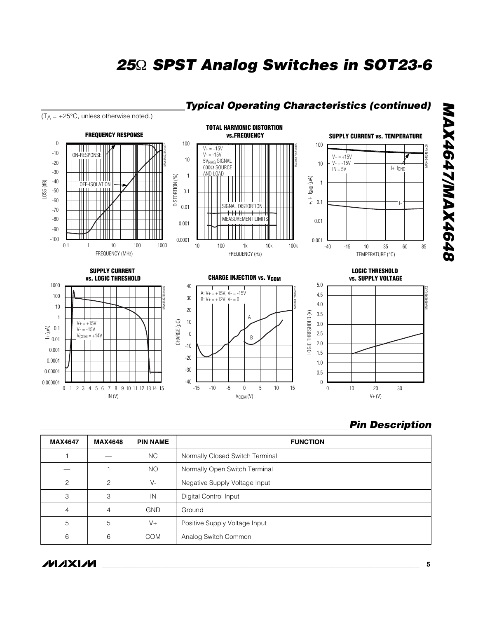

## *Typical Operating Characteristics (continued)*

*Pin Description*

| <b>MAX4647</b> | <b>MAX4648</b> | <b>PIN NAME</b> | <b>FUNCTION</b>                 |
|----------------|----------------|-----------------|---------------------------------|
|                |                | <b>NC</b>       | Normally Closed Switch Terminal |
|                |                | NO              | Normally Open Switch Terminal   |
| $\overline{c}$ | $\mathfrak{p}$ | $V -$           | Negative Supply Voltage Input   |
| 3              | 3              | IN              | Digital Control Input           |
| 4              | 4              | <b>GND</b>      | Ground                          |
| 5              | 5              | $V +$           | Positive Supply Voltage Input   |
| 6              | 6              | <b>COM</b>      | Analog Switch Common            |

**MAXM**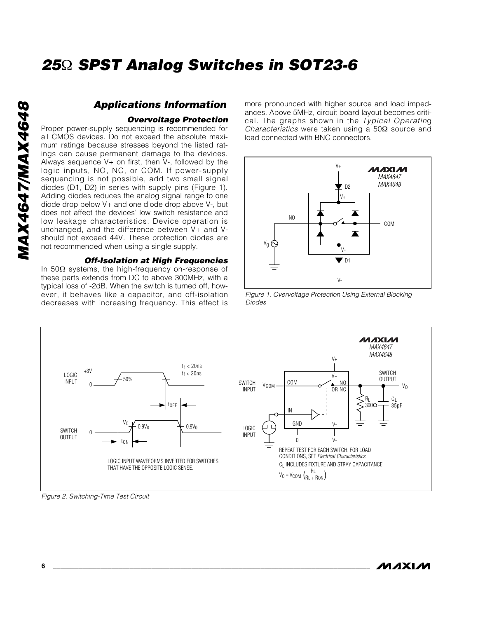### *Applications Information*

### *Overvoltage Protection*

Proper power-supply sequencing is recommended for all CMOS devices. Do not exceed the absolute maximum ratings because stresses beyond the listed ratings can cause permanent damage to the devices. Always sequence  $V+$  on first, then  $V-$ , followed by the logic inputs, NO, NC, or COM. If power-supply sequencing is not possible, add two small signal diodes (D1, D2) in series with supply pins (Figure 1). Adding diodes reduces the analog signal range to one diode drop below V+ and one diode drop above V-, but does not affect the devices' low switch resistance and low leakage characteristics. Device operation is unchanged, and the difference between V+ and Vshould not exceed 44V. These protection diodes are not recommended when using a single supply.

### *Off-Isolation at High Frequencies*

In 50Ω systems, the high-frequency on-response of these parts extends from DC to above 300MHz, with a typical loss of -2dB. When the switch is turned off, however, it behaves like a capacitor, and off-isolation decreases with increasing frequency. This effect is

more pronounced with higher source and load impedances. Above 5MHz, circuit board layout becomes critical. The graphs shown in the *Typical Operatin*g *Characteristics* were taken using a 50Ω source and load connected with BNC connectors.



*Figure 1. Overvoltage Protection Using External Blocking Diodes*



*Figure 2. Switching-Time Test Circuit*

**MAXIM**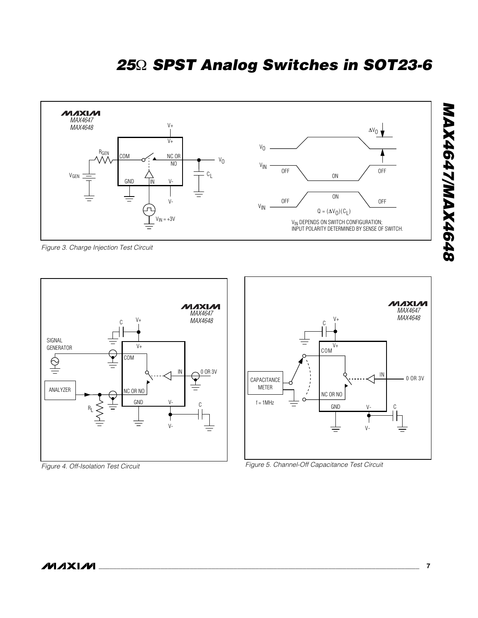

*Figure 3. Charge Injection Test Circuit*



*Figure 4. Off-Isolation Test Circuit*



*Figure 5. Channel-Off Capacitance Test Circuit*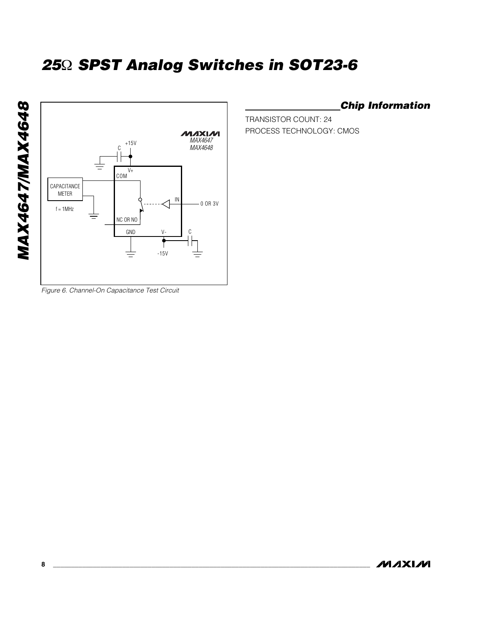

*Chip Information*

TRANSISTOR COUNT: 24 PROCESS TECHNOLOGY: CMOS

*Figure 6. Channel-On Capacitance Test Circuit*